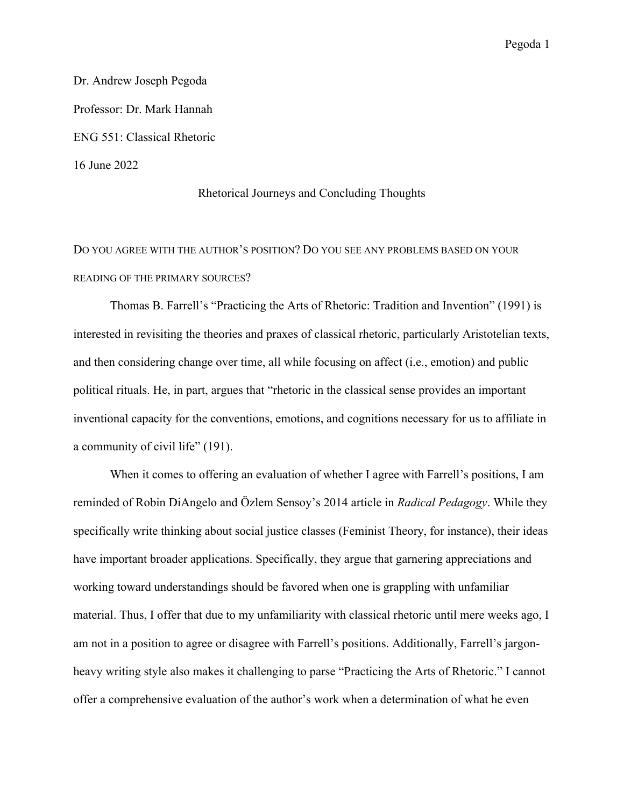Dr. Andrew Joseph Pegoda Professor: Dr. Mark Hannah ENG 551: Classical Rhetoric 16 June 2022

# Rhetorical Journeys and Concluding Thoughts

DO YOU AGREE WITH THE AUTHOR'S POSITION? DO YOU SEE ANY PROBLEMS BASED ON YOUR READING OF THE PRIMARY SOURCES?

Thomas B. Farrell's "Practicing the Arts of Rhetoric: Tradition and Invention" (1991) is interested in revisiting the theories and praxes of classical rhetoric, particularly Aristotelian texts, and then considering change over time, all while focusing on affect (i.e., emotion) and public political rituals. He, in part, argues that "rhetoric in the classical sense provides an important inventional capacity for the conventions, emotions, and cognitions necessary for us to affiliate in a community of civil life" (191).

When it comes to offering an evaluation of whether I agree with Farrell's positions, I am reminded of Robin DiAngelo and Özlem Sensoy's 2014 article in *Radical Pedagogy*. While they specifically write thinking about social justice classes (Feminist Theory, for instance), their ideas have important broader applications. Specifically, they argue that garnering appreciations and working toward understandings should be favored when one is grappling with unfamiliar material. Thus, I offer that due to my unfamiliarity with classical rhetoric until mere weeks ago, I am not in a position to agree or disagree with Farrell's positions. Additionally, Farrell's jargonheavy writing style also makes it challenging to parse "Practicing the Arts of Rhetoric." I cannot offer a comprehensive evaluation of the author's work when a determination of what he even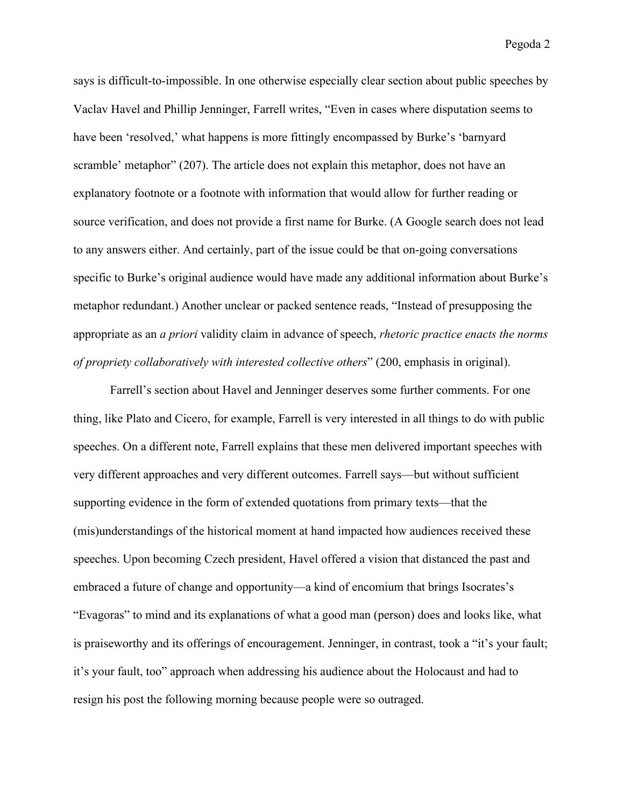says is difficult-to-impossible. In one otherwise especially clear section about public speeches by Vaclav Havel and Phillip Jenninger, Farrell writes, "Even in cases where disputation seems to have been 'resolved,' what happens is more fittingly encompassed by Burke's 'barnyard scramble' metaphor" (207). The article does not explain this metaphor, does not have an explanatory footnote or a footnote with information that would allow for further reading or source verification, and does not provide a first name for Burke. (A Google search does not lead to any answers either. And certainly, part of the issue could be that on-going conversations specific to Burke's original audience would have made any additional information about Burke's metaphor redundant.) Another unclear or packed sentence reads, "Instead of presupposing the appropriate as an *a priori* validity claim in advance of speech, *rhetoric practice enacts the norms of propriety collaboratively with interested collective others*" (200, emphasis in original).

Farrell's section about Havel and Jenninger deserves some further comments. For one thing, like Plato and Cicero, for example, Farrell is very interested in all things to do with public speeches. On a different note, Farrell explains that these men delivered important speeches with very different approaches and very different outcomes. Farrell says—but without sufficient supporting evidence in the form of extended quotations from primary texts—that the (mis)understandings of the historical moment at hand impacted how audiences received these speeches. Upon becoming Czech president, Havel offered a vision that distanced the past and embraced a future of change and opportunity—a kind of encomium that brings Isocrates's "Evagoras" to mind and its explanations of what a good man (person) does and looks like, what is praiseworthy and its offerings of encouragement. Jenninger, in contrast, took a "it's your fault; it's your fault, too" approach when addressing his audience about the Holocaust and had to resign his post the following morning because people were so outraged.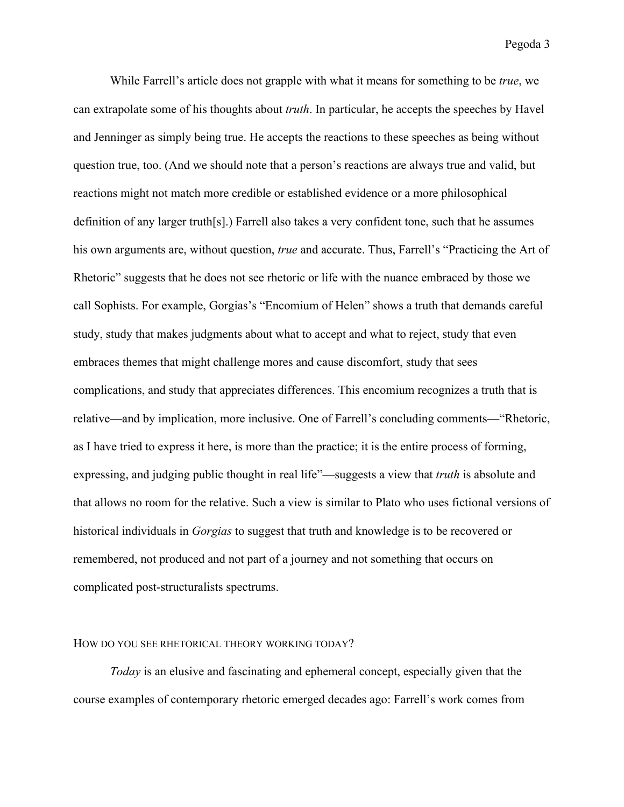While Farrell's article does not grapple with what it means for something to be *true*, we can extrapolate some of his thoughts about *truth*. In particular, he accepts the speeches by Havel and Jenninger as simply being true. He accepts the reactions to these speeches as being without question true, too. (And we should note that a person's reactions are always true and valid, but reactions might not match more credible or established evidence or a more philosophical definition of any larger truth[s].) Farrell also takes a very confident tone, such that he assumes his own arguments are, without question, *true* and accurate. Thus, Farrell's "Practicing the Art of Rhetoric" suggests that he does not see rhetoric or life with the nuance embraced by those we call Sophists. For example, Gorgias's "Encomium of Helen" shows a truth that demands careful study, study that makes judgments about what to accept and what to reject, study that even embraces themes that might challenge mores and cause discomfort, study that sees complications, and study that appreciates differences. This encomium recognizes a truth that is relative—and by implication, more inclusive. One of Farrell's concluding comments—"Rhetoric, as I have tried to express it here, is more than the practice; it is the entire process of forming, expressing, and judging public thought in real life"—suggests a view that *truth* is absolute and that allows no room for the relative. Such a view is similar to Plato who uses fictional versions of historical individuals in *Gorgias* to suggest that truth and knowledge is to be recovered or remembered, not produced and not part of a journey and not something that occurs on complicated post-structuralists spectrums.

#### HOW DO YOU SEE RHETORICAL THEORY WORKING TODAY?

*Today* is an elusive and fascinating and ephemeral concept, especially given that the course examples of contemporary rhetoric emerged decades ago: Farrell's work comes from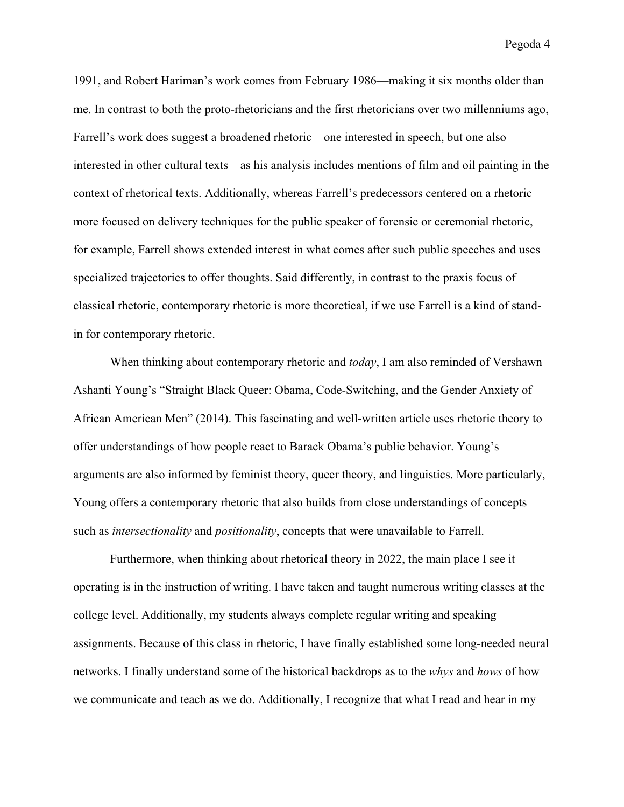1991, and Robert Hariman's work comes from February 1986—making it six months older than me. In contrast to both the proto-rhetoricians and the first rhetoricians over two millenniums ago, Farrell's work does suggest a broadened rhetoric—one interested in speech, but one also interested in other cultural texts—as his analysis includes mentions of film and oil painting in the context of rhetorical texts. Additionally, whereas Farrell's predecessors centered on a rhetoric more focused on delivery techniques for the public speaker of forensic or ceremonial rhetoric, for example, Farrell shows extended interest in what comes after such public speeches and uses specialized trajectories to offer thoughts. Said differently, in contrast to the praxis focus of classical rhetoric, contemporary rhetoric is more theoretical, if we use Farrell is a kind of standin for contemporary rhetoric.

When thinking about contemporary rhetoric and *today*, I am also reminded of Vershawn Ashanti Young's "Straight Black Queer: Obama, Code-Switching, and the Gender Anxiety of African American Men" (2014). This fascinating and well-written article uses rhetoric theory to offer understandings of how people react to Barack Obama's public behavior. Young's arguments are also informed by feminist theory, queer theory, and linguistics. More particularly, Young offers a contemporary rhetoric that also builds from close understandings of concepts such as *intersectionality* and *positionality*, concepts that were unavailable to Farrell.

Furthermore, when thinking about rhetorical theory in 2022, the main place I see it operating is in the instruction of writing. I have taken and taught numerous writing classes at the college level. Additionally, my students always complete regular writing and speaking assignments. Because of this class in rhetoric, I have finally established some long-needed neural networks. I finally understand some of the historical backdrops as to the *whys* and *hows* of how we communicate and teach as we do. Additionally, I recognize that what I read and hear in my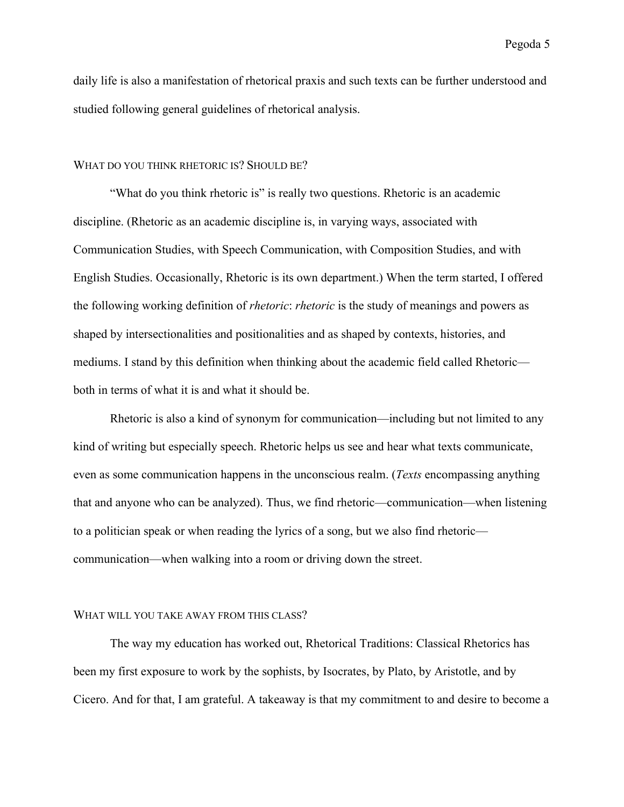daily life is also a manifestation of rhetorical praxis and such texts can be further understood and studied following general guidelines of rhetorical analysis.

# WHAT DO YOU THINK RHETORIC IS? SHOULD BE?

"What do you think rhetoric is" is really two questions. Rhetoric is an academic discipline. (Rhetoric as an academic discipline is, in varying ways, associated with Communication Studies, with Speech Communication, with Composition Studies, and with English Studies. Occasionally, Rhetoric is its own department.) When the term started, I offered the following working definition of *rhetoric*: *rhetoric* is the study of meanings and powers as shaped by intersectionalities and positionalities and as shaped by contexts, histories, and mediums. I stand by this definition when thinking about the academic field called Rhetoric both in terms of what it is and what it should be.

Rhetoric is also a kind of synonym for communication—including but not limited to any kind of writing but especially speech. Rhetoric helps us see and hear what texts communicate, even as some communication happens in the unconscious realm. (*Texts* encompassing anything that and anyone who can be analyzed). Thus, we find rhetoric—communication—when listening to a politician speak or when reading the lyrics of a song, but we also find rhetoric communication—when walking into a room or driving down the street.

#### WHAT WILL YOU TAKE AWAY FROM THIS CLASS?

The way my education has worked out, Rhetorical Traditions: Classical Rhetorics has been my first exposure to work by the sophists, by Isocrates, by Plato, by Aristotle, and by Cicero. And for that, I am grateful. A takeaway is that my commitment to and desire to become a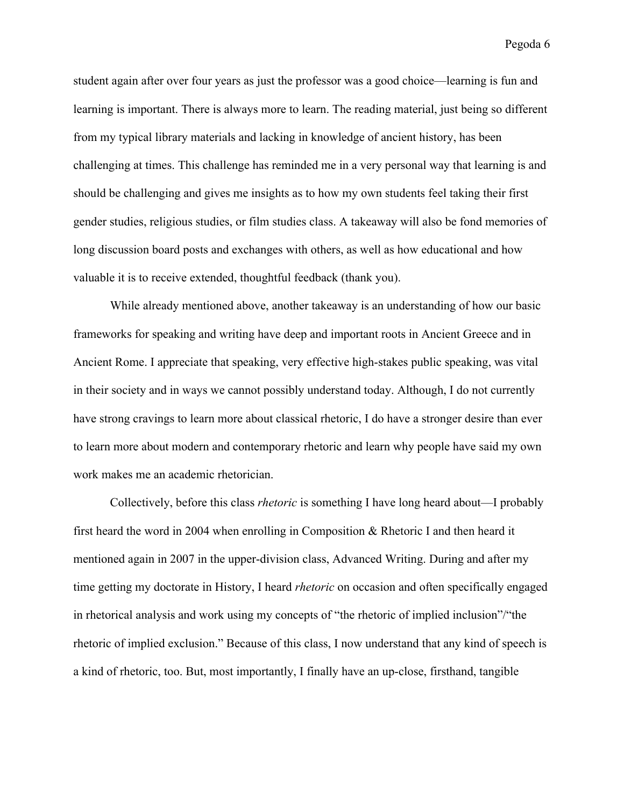student again after over four years as just the professor was a good choice—learning is fun and learning is important. There is always more to learn. The reading material, just being so different from my typical library materials and lacking in knowledge of ancient history, has been challenging at times. This challenge has reminded me in a very personal way that learning is and should be challenging and gives me insights as to how my own students feel taking their first gender studies, religious studies, or film studies class. A takeaway will also be fond memories of long discussion board posts and exchanges with others, as well as how educational and how valuable it is to receive extended, thoughtful feedback (thank you).

While already mentioned above, another takeaway is an understanding of how our basic frameworks for speaking and writing have deep and important roots in Ancient Greece and in Ancient Rome. I appreciate that speaking, very effective high-stakes public speaking, was vital in their society and in ways we cannot possibly understand today. Although, I do not currently have strong cravings to learn more about classical rhetoric, I do have a stronger desire than ever to learn more about modern and contemporary rhetoric and learn why people have said my own work makes me an academic rhetorician.

Collectively, before this class *rhetoric* is something I have long heard about—I probably first heard the word in 2004 when enrolling in Composition & Rhetoric I and then heard it mentioned again in 2007 in the upper-division class, Advanced Writing. During and after my time getting my doctorate in History, I heard *rhetoric* on occasion and often specifically engaged in rhetorical analysis and work using my concepts of "the rhetoric of implied inclusion"/"the rhetoric of implied exclusion." Because of this class, I now understand that any kind of speech is a kind of rhetoric, too. But, most importantly, I finally have an up-close, firsthand, tangible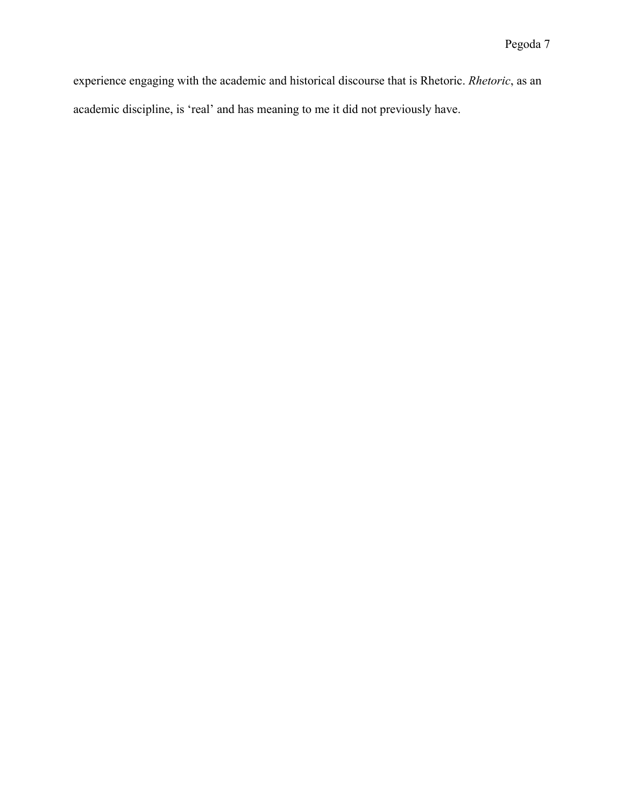experience engaging with the academic and historical discourse that is Rhetoric. *Rhetoric*, as an academic discipline, is 'real' and has meaning to me it did not previously have.